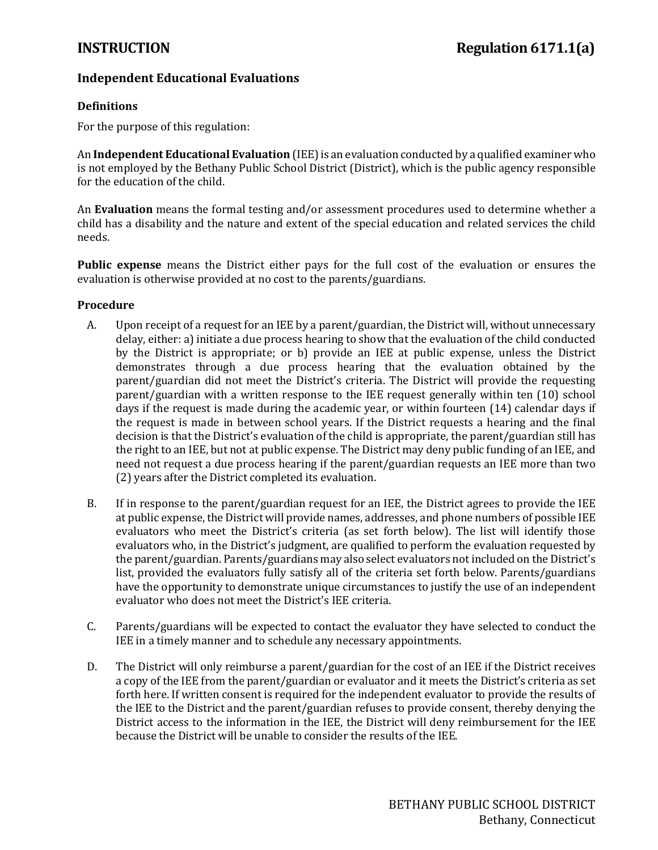# **Independent Educational Evaluations**

# **Definitions**

For the purpose of this regulation:

An **Independent Educational Evaluation** (IEE) is an evaluation conducted by a qualified examiner who is not employed by the Bethany Public School District (District), which is the public agency responsible for the education of the child.

An **Evaluation** means the formal testing and/or assessment procedures used to determine whether a child has a disability and the nature and extent of the special education and related services the child needs.

**Public expense** means the District either pays for the full cost of the evaluation or ensures the evaluation is otherwise provided at no cost to the parents/guardians.

# **Procedure**

- A. Upon receipt of a request for an IEE by a parent/guardian, the District will, without unnecessary delay, either: a) initiate a due process hearing to show that the evaluation of the child conducted by the District is appropriate; or b) provide an IEE at public expense, unless the District demonstrates through a due process hearing that the evaluation obtained by the parent/guardian did not meet the District's criteria. The District will provide the requesting parent/guardian with a written response to the IEE request generally within ten (10) school days if the request is made during the academic year, or within fourteen (14) calendar days if the request is made in between school years. If the District requests a hearing and the final decision is that the District's evaluation of the child is appropriate, the parent/guardian still has the right to an IEE, but not at public expense. The District may deny public funding of an IEE, and need not request a due process hearing if the parent/guardian requests an IEE more than two (2) years after the District completed its evaluation.
- B. If in response to the parent/guardian request for an IEE, the District agrees to provide the IEE at public expense, the District will provide names, addresses, and phone numbers of possible IEE evaluators who meet the District's criteria (as set forth below). The list will identify those evaluators who, in the District's judgment, are qualified to perform the evaluation requested by the parent/guardian. Parents/guardians may also select evaluators not included on the District's list, provided the evaluators fully satisfy all of the criteria set forth below. Parents/guardians have the opportunity to demonstrate unique circumstances to justify the use of an independent evaluator who does not meet the District's IEE criteria.
- C. Parents/guardians will be expected to contact the evaluator they have selected to conduct the IEE in a timely manner and to schedule any necessary appointments.
- D. The District will only reimburse a parent/guardian for the cost of an IEE if the District receives a copy of the IEE from the parent/guardian or evaluator and it meets the District's criteria as set forth here. If written consent is required for the independent evaluator to provide the results of the IEE to the District and the parent/guardian refuses to provide consent, thereby denying the District access to the information in the IEE, the District will deny reimbursement for the IEE because the District will be unable to consider the results of the IEE.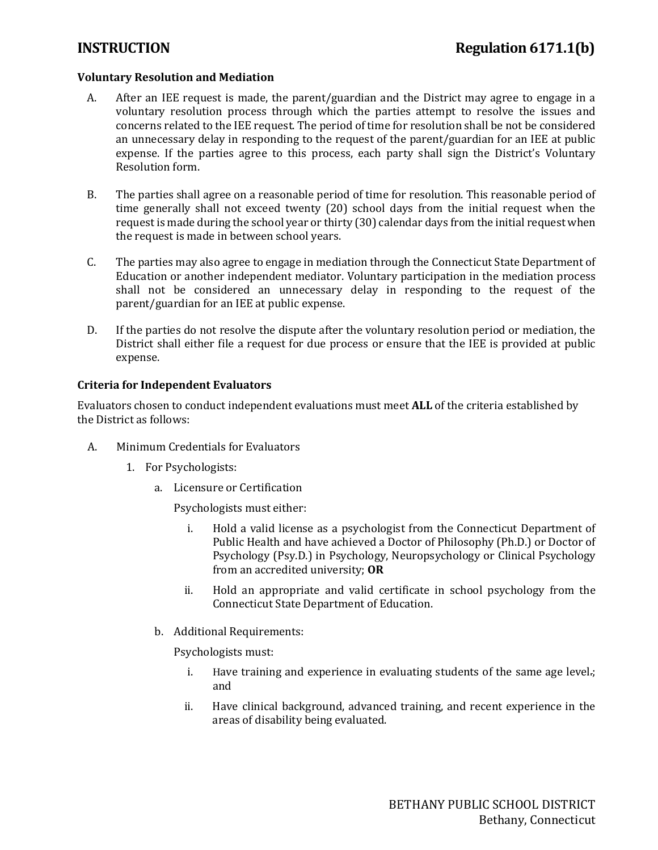# **Voluntary Resolution and Mediation**

- A. After an IEE request is made, the parent/guardian and the District may agree to engage in a voluntary resolution process through which the parties attempt to resolve the issues and concerns related to the IEE request. The period of time for resolution shall be not be considered an unnecessary delay in responding to the request of the parent/guardian for an IEE at public expense. If the parties agree to this process, each party shall sign the District's Voluntary Resolution form.
- B. The parties shall agree on a reasonable period of time for resolution. This reasonable period of time generally shall not exceed twenty (20) school days from the initial request when the request is made during the school year or thirty (30) calendar days from the initial request when the request is made in between school years.
- C. The parties may also agree to engage in mediation through the Connecticut State Department of Education or another independent mediator. Voluntary participation in the mediation process shall not be considered an unnecessary delay in responding to the request of the parent/guardian for an IEE at public expense.
- D. If the parties do not resolve the dispute after the voluntary resolution period or mediation, the District shall either file a request for due process or ensure that the IEE is provided at public expense.

# **Criteria for Independent Evaluators**

Evaluators chosen to conduct independent evaluations must meet **ALL** of the criteria established by the District as follows:

- A. Minimum Credentials for Evaluators
	- 1. For Psychologists:
		- a. Licensure or Certification

Psychologists must either:

- i. Hold a valid license as a psychologist from the Connecticut Department of Public Health and have achieved a Doctor of Philosophy (Ph.D.) or Doctor of Psychology (Psy.D.) in Psychology, Neuropsychology or Clinical Psychology from an accredited university; **OR**
- ii. Hold an appropriate and valid certificate in school psychology from the Connecticut State Department of Education.
- b. Additional Requirements:

Psychologists must:

- i. Have training and experience in evaluating students of the same age level.; and
- ii. Have clinical background, advanced training, and recent experience in the areas of disability being evaluated.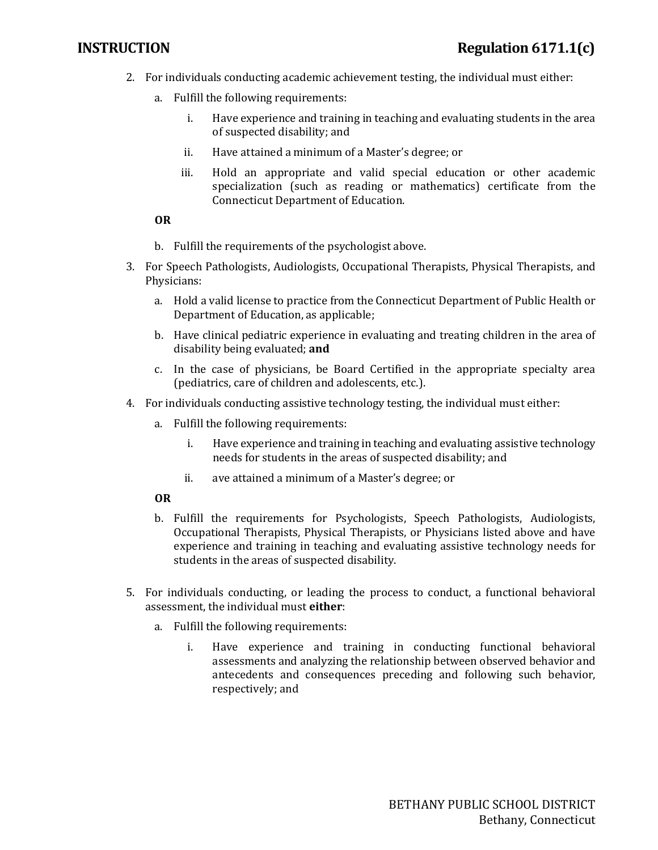- 2. For individuals conducting academic achievement testing, the individual must either:
	- a. Fulfill the following requirements:
		- i. Have experience and training in teaching and evaluating students in the area of suspected disability; and
		- ii. Have attained a minimum of a Master's degree; or
		- iii. Hold an appropriate and valid special education or other academic specialization (such as reading or mathematics) certificate from the Connecticut Department of Education.

# **OR**

- b. Fulfill the requirements of the psychologist above.
- 3. For Speech Pathologists, Audiologists, Occupational Therapists, Physical Therapists, and Physicians:
	- a. Hold a valid license to practice from the Connecticut Department of Public Health or Department of Education, as applicable;
	- b. Have clinical pediatric experience in evaluating and treating children in the area of disability being evaluated; **and**
	- c. In the case of physicians, be Board Certified in the appropriate specialty area (pediatrics, care of children and adolescents, etc.).
- 4. For individuals conducting assistive technology testing, the individual must either:
	- a. Fulfill the following requirements:
		- i. Have experience and training in teaching and evaluating assistive technology needs for students in the areas of suspected disability; and
		- ii. ave attained a minimum of a Master's degree; or

# **OR**

- b. Fulfill the requirements for Psychologists, Speech Pathologists, Audiologists, Occupational Therapists, Physical Therapists, or Physicians listed above and have experience and training in teaching and evaluating assistive technology needs for students in the areas of suspected disability.
- 5. For individuals conducting, or leading the process to conduct, a functional behavioral assessment, the individual must **either**:
	- a. Fulfill the following requirements:
		- i. Have experience and training in conducting functional behavioral assessments and analyzing the relationship between observed behavior and antecedents and consequences preceding and following such behavior, respectively; and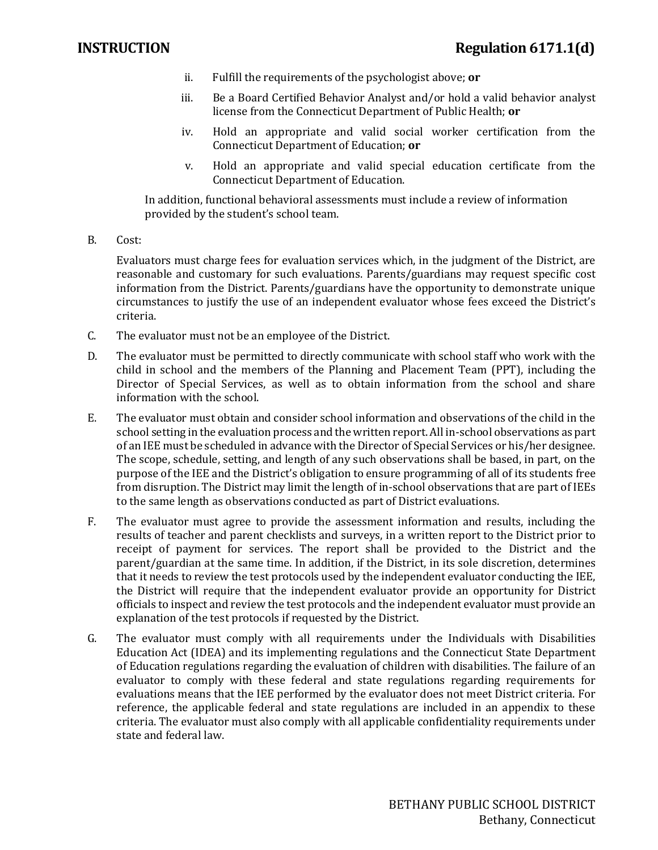- ii. Fulfill the requirements of the psychologist above; **or**
- iii. Be a Board Certified Behavior Analyst and/or hold a valid behavior analyst license from the Connecticut Department of Public Health; **or**
- iv. Hold an appropriate and valid social worker certification from the Connecticut Department of Education; **or**
- v. Hold an appropriate and valid special education certificate from the Connecticut Department of Education.

In addition, functional behavioral assessments must include a review of information provided by the student's school team.

B. Cost:

Evaluators must charge fees for evaluation services which, in the judgment of the District, are reasonable and customary for such evaluations. Parents/guardians may request specific cost information from the District. Parents/guardians have the opportunity to demonstrate unique circumstances to justify the use of an independent evaluator whose fees exceed the District's criteria.

- C. The evaluator must not be an employee of the District.
- D. The evaluator must be permitted to directly communicate with school staff who work with the child in school and the members of the Planning and Placement Team (PPT), including the Director of Special Services, as well as to obtain information from the school and share information with the school.
- E. The evaluator must obtain and consider school information and observations of the child in the school setting in the evaluation process and the written report. All in-school observations as part of an IEE must be scheduled in advance with the Director of Special Services or his/her designee. The scope, schedule, setting, and length of any such observations shall be based, in part, on the purpose of the IEE and the District's obligation to ensure programming of all of its students free from disruption. The District may limit the length of in-school observations that are part of IEEs to the same length as observations conducted as part of District evaluations.
- F. The evaluator must agree to provide the assessment information and results, including the results of teacher and parent checklists and surveys, in a written report to the District prior to receipt of payment for services. The report shall be provided to the District and the parent/guardian at the same time. In addition, if the District, in its sole discretion, determines that it needs to review the test protocols used by the independent evaluator conducting the IEE, the District will require that the independent evaluator provide an opportunity for District officials to inspect and review the test protocols and the independent evaluator must provide an explanation of the test protocols if requested by the District.
- G. The evaluator must comply with all requirements under the Individuals with Disabilities Education Act (IDEA) and its implementing regulations and the Connecticut State Department of Education regulations regarding the evaluation of children with disabilities. The failure of an evaluator to comply with these federal and state regulations regarding requirements for evaluations means that the IEE performed by the evaluator does not meet District criteria. For reference, the applicable federal and state regulations are included in an appendix to these criteria. The evaluator must also comply with all applicable confidentiality requirements under state and federal law.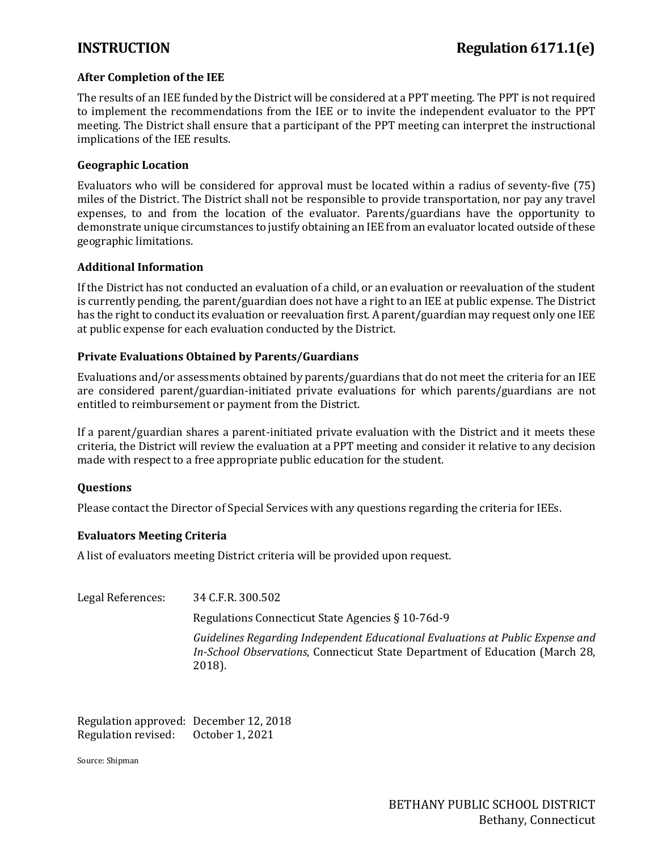# **After Completion of the IEE**

The results of an IEE funded by the District will be considered at a PPT meeting. The PPT is not required to implement the recommendations from the IEE or to invite the independent evaluator to the PPT meeting. The District shall ensure that a participant of the PPT meeting can interpret the instructional implications of the IEE results.

## **Geographic Location**

Evaluators who will be considered for approval must be located within a radius of seventy-five (75) miles of the District. The District shall not be responsible to provide transportation, nor pay any travel expenses, to and from the location of the evaluator. Parents/guardians have the opportunity to demonstrate unique circumstances to justify obtaining an IEE from an evaluator located outside of these geographic limitations.

### **Additional Information**

If the District has not conducted an evaluation of a child, or an evaluation or reevaluation of the student is currently pending, the parent/guardian does not have a right to an IEE at public expense. The District has the right to conduct its evaluation or reevaluation first. A parent/guardian may request only one IEE at public expense for each evaluation conducted by the District.

# **Private Evaluations Obtained by Parents/Guardians**

Evaluations and/or assessments obtained by parents/guardians that do not meet the criteria for an IEE are considered parent/guardian-initiated private evaluations for which parents/guardians are not entitled to reimbursement or payment from the District.

If a parent/guardian shares a parent-initiated private evaluation with the District and it meets these criteria, the District will review the evaluation at a PPT meeting and consider it relative to any decision made with respect to a free appropriate public education for the student.

# **Questions**

Please contact the Director of Special Services with any questions regarding the criteria for IEEs.

### **Evaluators Meeting Criteria**

A list of evaluators meeting District criteria will be provided upon request.

Legal References: 34 C.F.R. 300.502 Regulations Connecticut State Agencies § 10-76d-9 *Guidelines Regarding Independent Educational Evaluations at Public Expense and In-School Observations*, Connecticut State Department of Education (March 28, 2018).

Regulation approved: December 12, 2018<br>Regulation revised: October 1, 2021 Regulation revised:

Source: Shipman